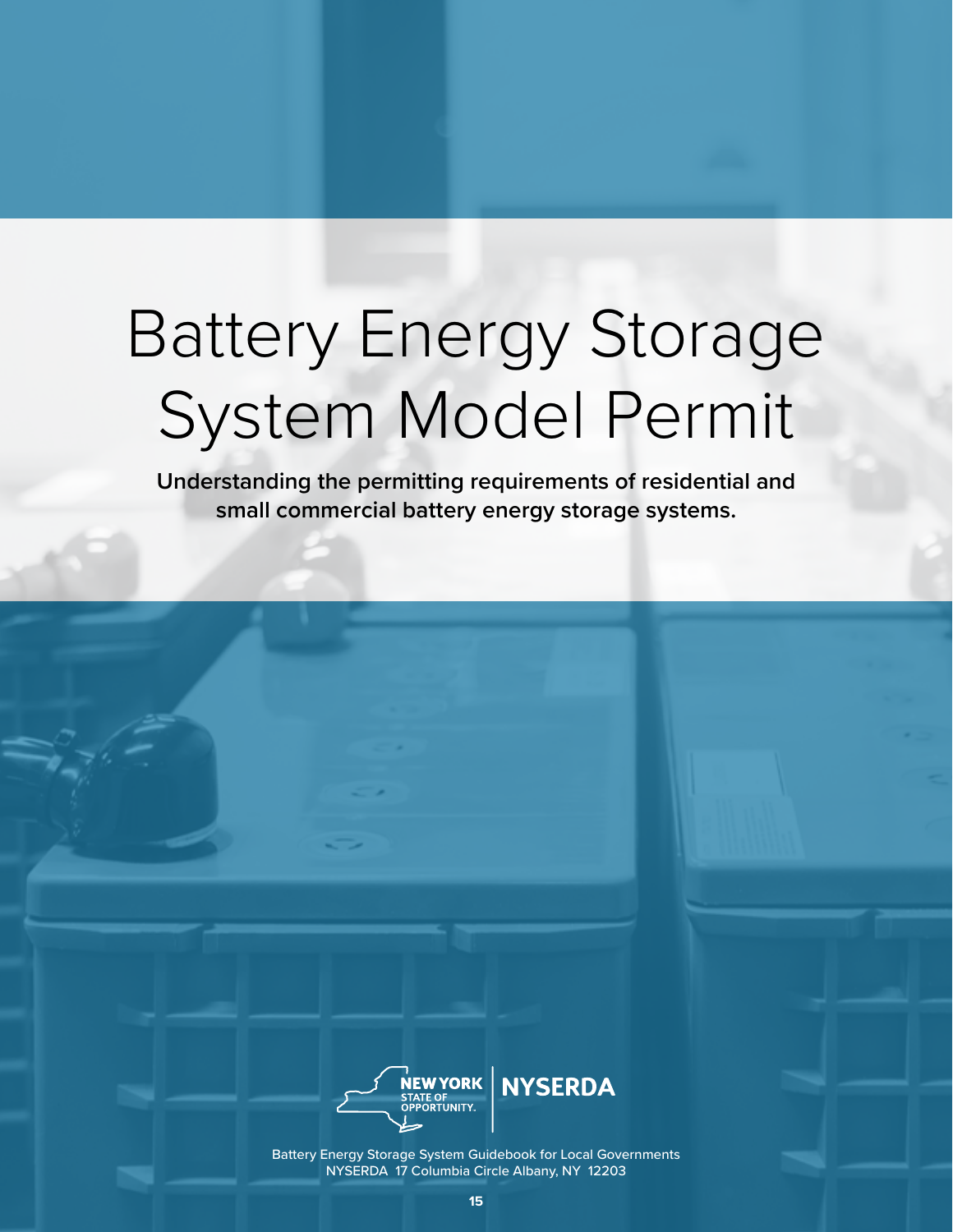# Battery Energy Storage System Model Permit

**Understanding the permitting requirements of residential and small commercial battery energy storage systems.** 



Battery Energy Storage System Guidebook for Local Governments NYSERDA 17 Columbia Circle Albany, NY 12203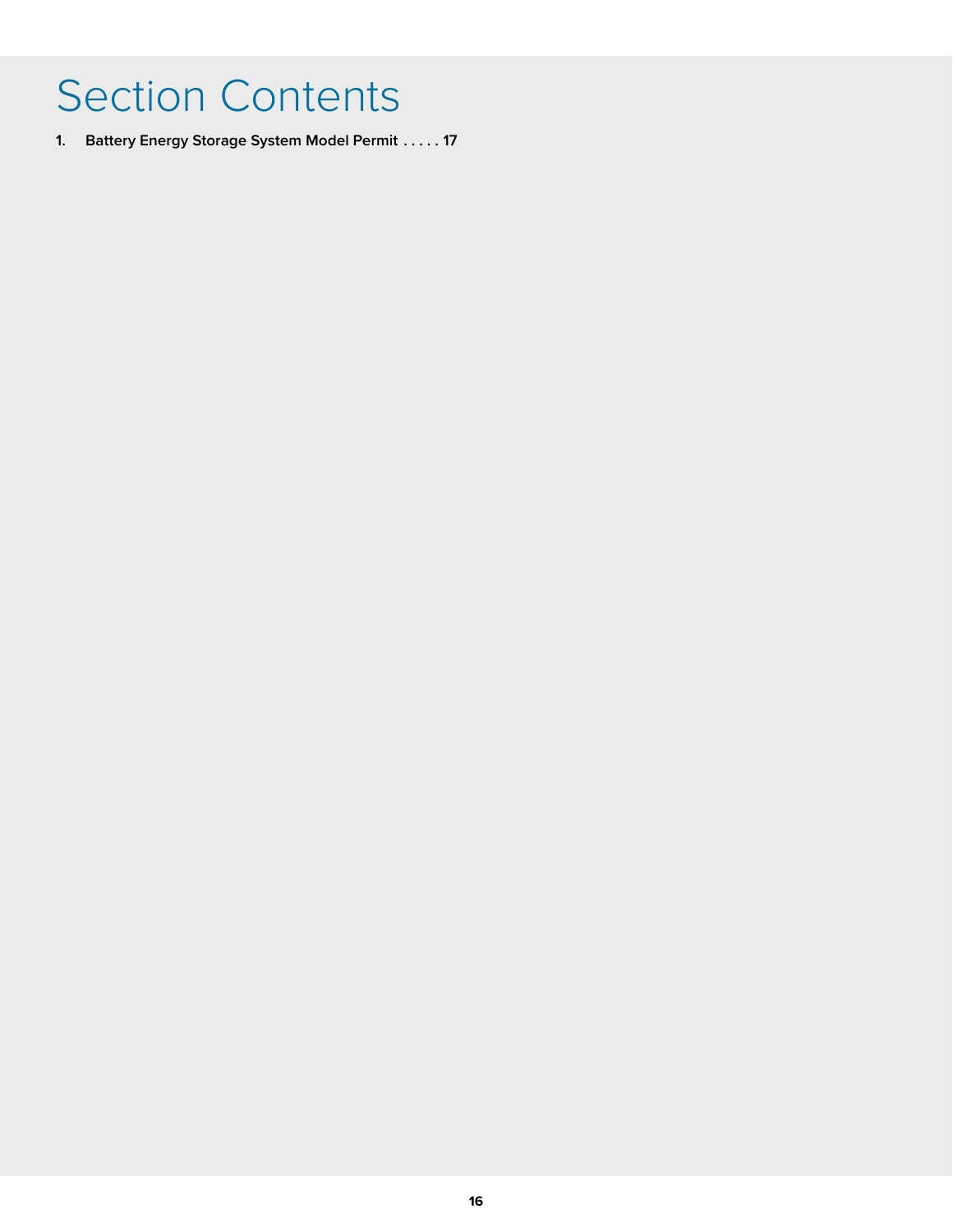## Section Contents

**1. Battery Energy Storage System Model Permit . . 17**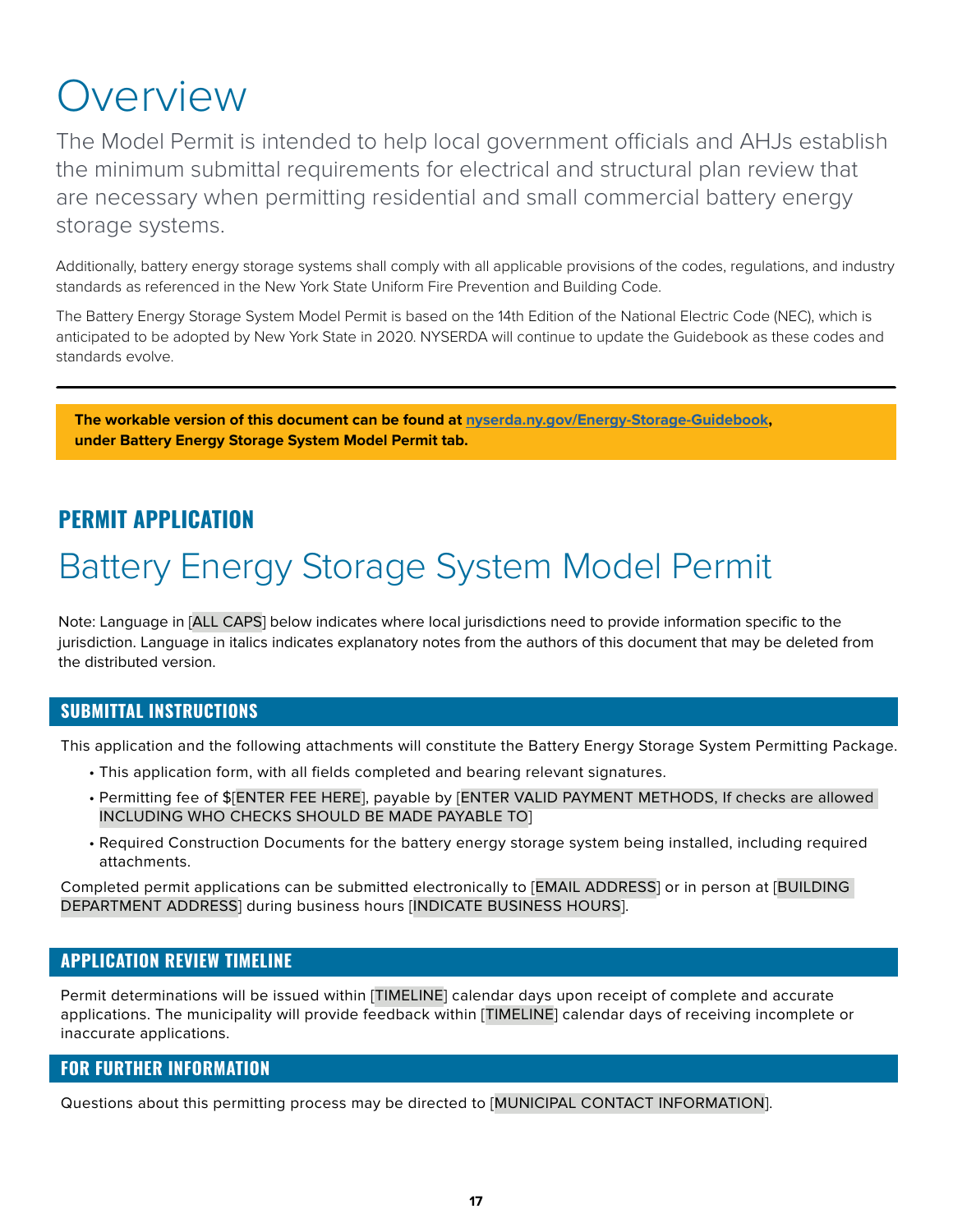### **Overview**

The Model Permit is intended to help local government officials and AHJs establish the minimum submittal requirements for electrical and structural plan review that are necessary when permitting residential and small commercial battery energy storage systems.

Additionally, battery energy storage systems shall comply with all applicable provisions of the codes, regulations, and industry standards as referenced in the New York State Uniform Fire Prevention and Building Code.

The Battery Energy Storage System Model Permit is based on the 14th Edition of the National Electric Code (NEC), which is anticipated to be adopted by New York State in 2020. NYSERDA will continue to update the Guidebook as these codes and standards evolve.

**The workable version of this document can be found at [nyserda.ny.gov/Energy-Storage-Guidebook,](http://nyserda.ny.gov/Energy-Storage-Guidebook) under Battery Energy Storage System Model Permit tab.**

#### **PERMIT APPLICATION**

### Battery Energy Storage System Model Permit

Note: Language in [ALL CAPS] below indicates where local jurisdictions need to provide information specific to the jurisdiction. Language in italics indicates explanatory notes from the authors of this document that may be deleted from the distributed version.

#### **SUBMITTAL INSTRUCTIONS**

This application and the following attachments will constitute the Battery Energy Storage System Permitting Package.

- This application form, with all fields completed and bearing relevant signatures.
- Permitting fee of \$[ENTER FEE HERE], payable by [ENTER VALID PAYMENT METHODS, If checks are allowed INCLUDING WHO CHECKS SHOULD BE MADE PAYABLE TO]
- Required Construction Documents for the battery energy storage system being installed, including required attachments.

Completed permit applications can be submitted electronically to [EMAIL ADDRESS] or in person at [BUILDING DEPARTMENT ADDRESS] during business hours [INDICATE BUSINESS HOURS].

#### **APPLICATION REVIEW TIMELINE**

Permit determinations will be issued within [TIMELINE] calendar days upon receipt of complete and accurate applications. The municipality will provide feedback within [TIMELINE] calendar days of receiving incomplete or inaccurate applications.

#### **FOR FURTHER INFORMATION**

Questions about this permitting process may be directed to [MUNICIPAL CONTACT INFORMATION].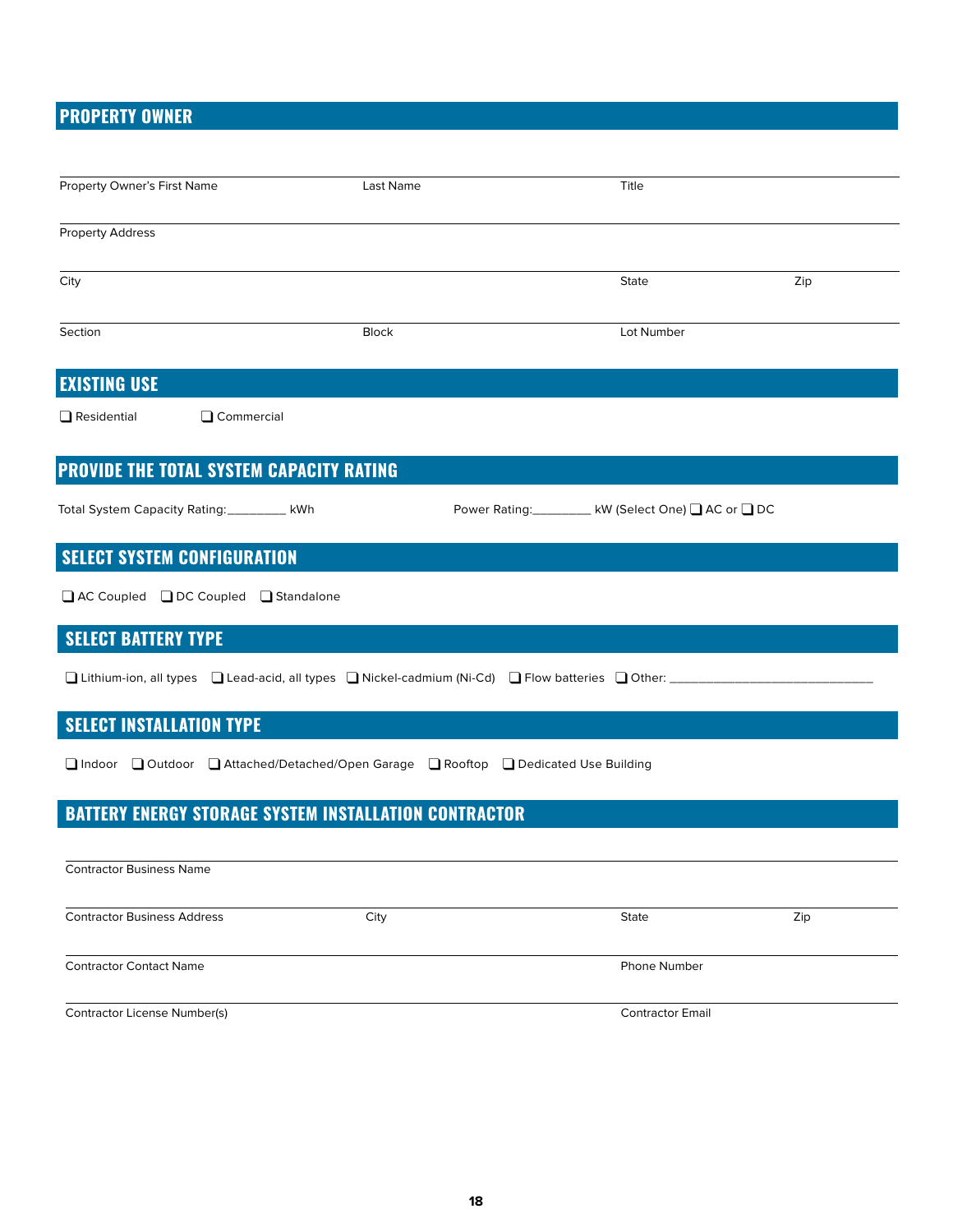#### **PROPERTY OWNER**

| Property Owner's First Name                     | Last Name                                                                                              | Title                                              |     |
|-------------------------------------------------|--------------------------------------------------------------------------------------------------------|----------------------------------------------------|-----|
| <b>Property Address</b>                         |                                                                                                        |                                                    |     |
| City                                            |                                                                                                        | State                                              | Zip |
| Section                                         | <b>Block</b>                                                                                           | Lot Number                                         |     |
| <b>EXISTING USE</b>                             |                                                                                                        |                                                    |     |
| Commercial<br>$\Box$ Residential                |                                                                                                        |                                                    |     |
| <b>PROVIDE THE TOTAL SYSTEM CAPACITY RATING</b> |                                                                                                        |                                                    |     |
|                                                 |                                                                                                        |                                                    |     |
| Total System Capacity Rating: _________ kWh     |                                                                                                        | Power Rating: _______ kW (Select One) ■ AC or ■ DC |     |
| <b>SELECT SYSTEM CONFIGURATION</b>              |                                                                                                        |                                                    |     |
| □ AC Coupled □ DC Coupled □ Standalone          |                                                                                                        |                                                    |     |
| <b>SELECT BATTERY TYPE</b>                      |                                                                                                        |                                                    |     |
|                                                 | □ Lithium-ion, all types □ Lead-acid, all types □ Nickel-cadmium (Ni-Cd) □ Flow batteries □ Other: ___ |                                                    |     |
| <b>SELECT INSTALLATION TYPE</b>                 |                                                                                                        |                                                    |     |
|                                                 | □ Indoor □ Outdoor □ Attached/Detached/Open Garage □ Rooftop □ Dedicated Use Building                  |                                                    |     |
|                                                 | <b>BATTERY ENERGY STORAGE SYSTEM INSTALLATION CONTRACTOR</b>                                           |                                                    |     |
| <b>Contractor Business Name</b>                 |                                                                                                        |                                                    |     |
| <b>Contractor Business Address</b>              | City                                                                                                   | <b>State</b>                                       | Zip |
| <b>Contractor Contact Name</b>                  |                                                                                                        | <b>Phone Number</b>                                |     |
| Contractor License Number(s)                    |                                                                                                        | <b>Contractor Email</b>                            |     |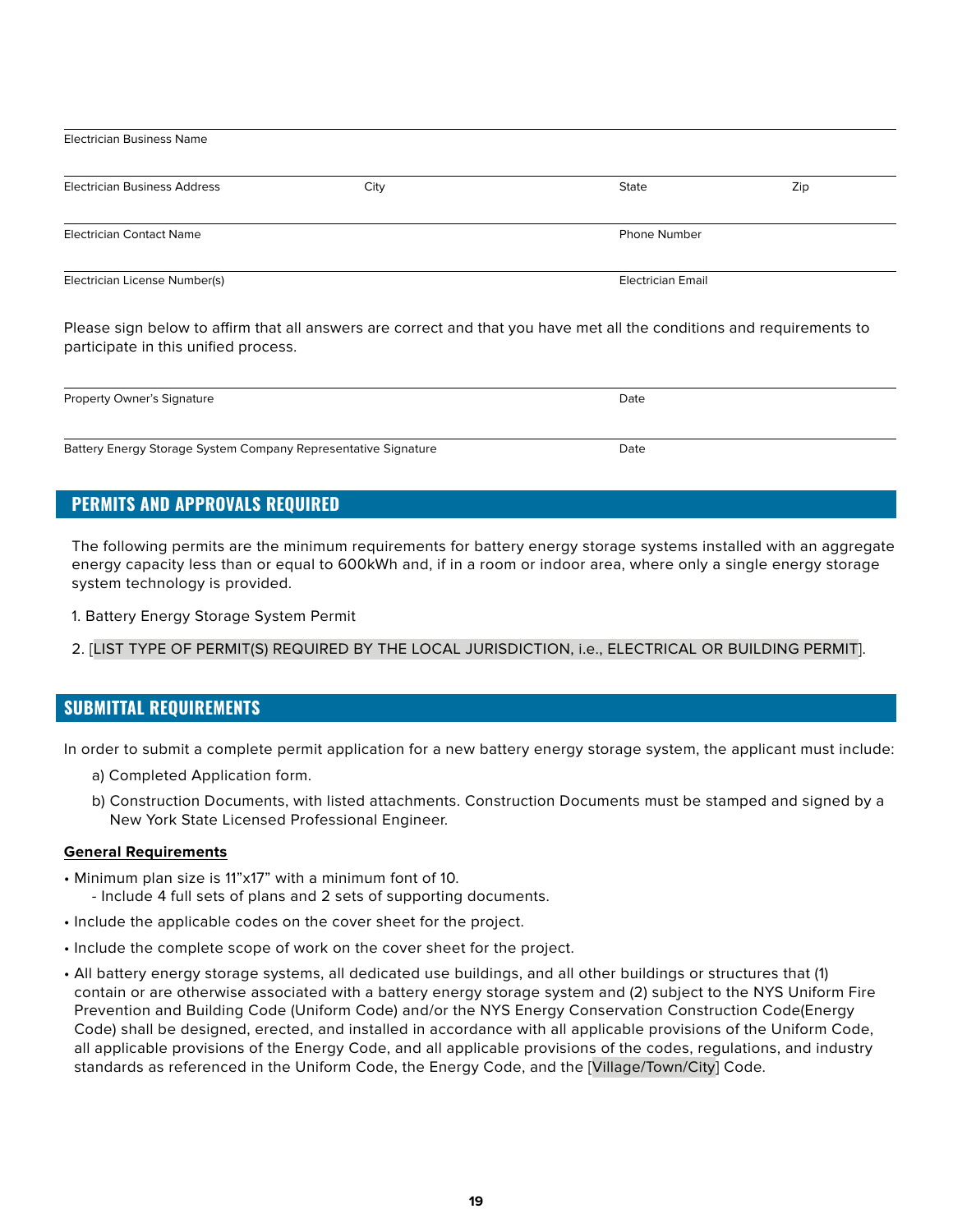| <b>Electrician Business Name</b>    |      |                          |     |  |  |
|-------------------------------------|------|--------------------------|-----|--|--|
| <b>Electrician Business Address</b> | City | State                    | Zip |  |  |
| <b>Electrician Contact Name</b>     |      | <b>Phone Number</b>      |     |  |  |
| Electrician License Number(s)       |      | <b>Electrician Email</b> |     |  |  |

Please sign below to affirm that all answers are correct and that you have met all the conditions and requirements to participate in this unified process.

| <b>Property Owner's Signature</b>                              | Date |  |
|----------------------------------------------------------------|------|--|
|                                                                |      |  |
| Battery Energy Storage System Company Representative Signature | Date |  |

#### **PERMITS AND APPROVALS REQUIRED**

The following permits are the minimum requirements for battery energy storage systems installed with an aggregate energy capacity less than or equal to 600kWh and, if in a room or indoor area, where only a single energy storage system technology is provided.

1. Battery Energy Storage System Permit

#### 2. [LIST TYPE OF PERMIT(S) REQUIRED BY THE LOCAL JURISDICTION, i.e., ELECTRICAL OR BUILDING PERMIT].

#### **SUBMITTAL REQUIREMENTS**

In order to submit a complete permit application for a new battery energy storage system, the applicant must include:

- a) Completed Application form.
- Page 2 of 5 b) Construction Documents, with listed attachments. Construction Documents must be stamped and signed by a New York State Licensed Professional Engineer.

#### **General Requirements**

- Minimum plan size is 11"x17" with a minimum font of 10.
	- Include 4 full sets of plans and 2 sets of supporting documents.
- Include the applicable codes on the cover sheet for the project.
- Include the complete scope of work on the cover sheet for the project.
- All battery energy storage systems, all dedicated use buildings, and all other buildings or structures that (1) contain or are otherwise associated with a battery energy storage system and (2) subject to the NYS Uniform Fire Prevention and Building Code (Uniform Code) and/or the NYS Energy Conservation Construction Code(Energy Code) shall be designed, erected, and installed in accordance with all applicable provisions of the Uniform Code, all applicable provisions of the Energy Code, and all applicable provisions of the codes, regulations, and industry standards as referenced in the Uniform Code, the Energy Code, and the [Village/Town/City] Code.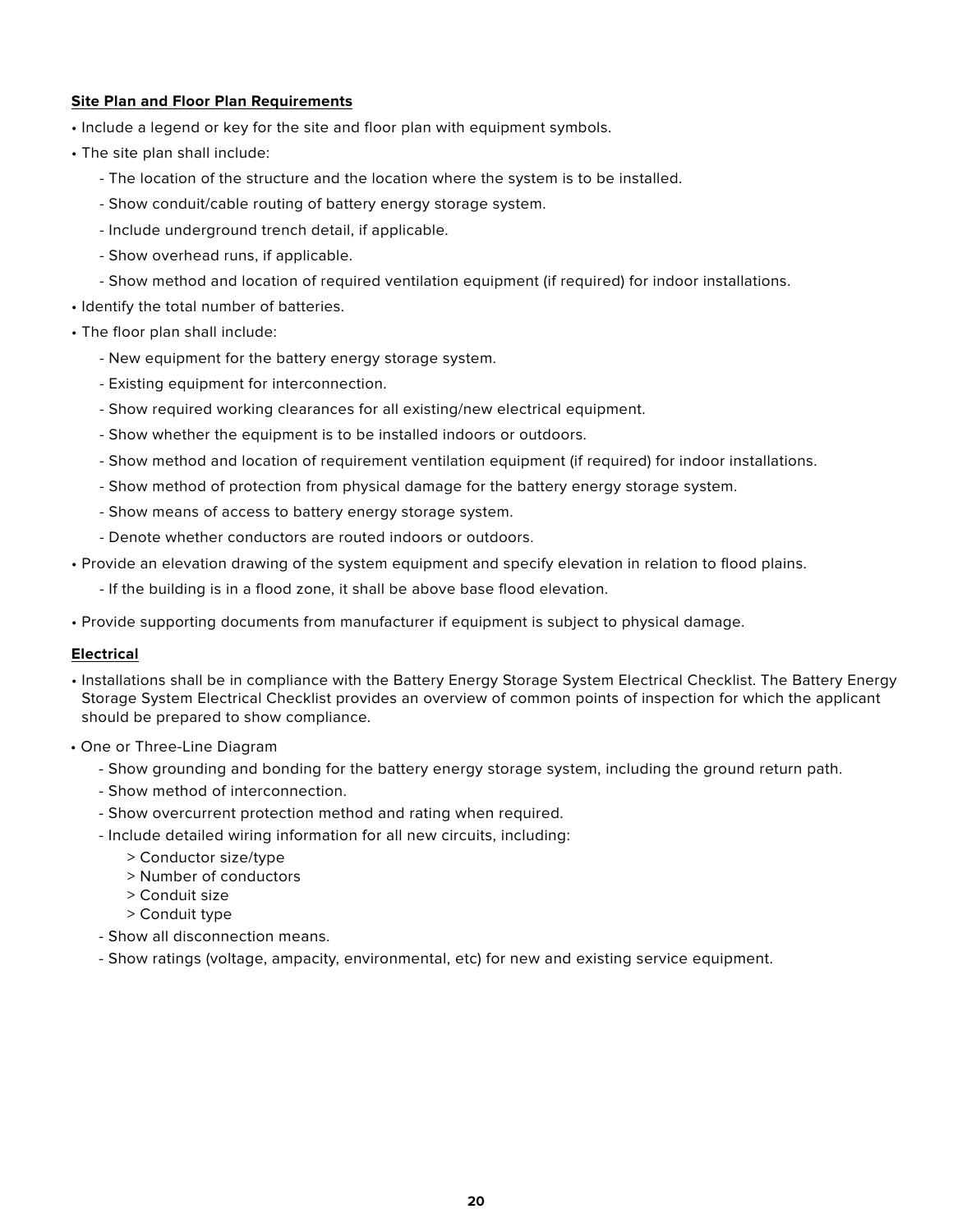#### **Site Plan and Floor Plan Requirements**

- Include a legend or key for the site and floor plan with equipment symbols.
- The site plan shall include:
	- The location of the structure and the location where the system is to be installed.
	- Show conduit/cable routing of battery energy storage system.
	- Include underground trench detail, if applicable.
	- Show overhead runs, if applicable.
	- Show method and location of required ventilation equipment (if required) for indoor installations.
- Identify the total number of batteries.
- The floor plan shall include:
	- New equipment for the battery energy storage system.
	- Existing equipment for interconnection.
	- Show required working clearances for all existing/new electrical equipment.
	- Show whether the equipment is to be installed indoors or outdoors.
	- Show method and location of requirement ventilation equipment (if required) for indoor installations.
	- Show method of protection from physical damage for the battery energy storage system.
	- Show means of access to battery energy storage system.
	- Denote whether conductors are routed indoors or outdoors.
- Provide an elevation drawing of the system equipment and specify elevation in relation to flood plains.
	- If the building is in a flood zone, it shall be above base flood elevation.
- Provide supporting documents from manufacturer if equipment is subject to physical damage.

#### **Electrical**

- Installations shall be in compliance with the Battery Energy Storage System Electrical Checklist. The Battery Energy Storage System Electrical Checklist provides an overview of common points of inspection for which the applicant should be prepared to show compliance.
- One or Three-Line Diagram
	- Show grounding and bonding for the battery energy storage system, including the ground return path.
	- Show method of interconnection.
	- Show overcurrent protection method and rating when required.
	- Include detailed wiring information for all new circuits, including:
		- > Conductor size/type
		- > Number of conductors
		- > Conduit size
		- > Conduit type
	- Show all disconnection means.
	- Show ratings (voltage, ampacity, environmental, etc) for new and existing service equipment.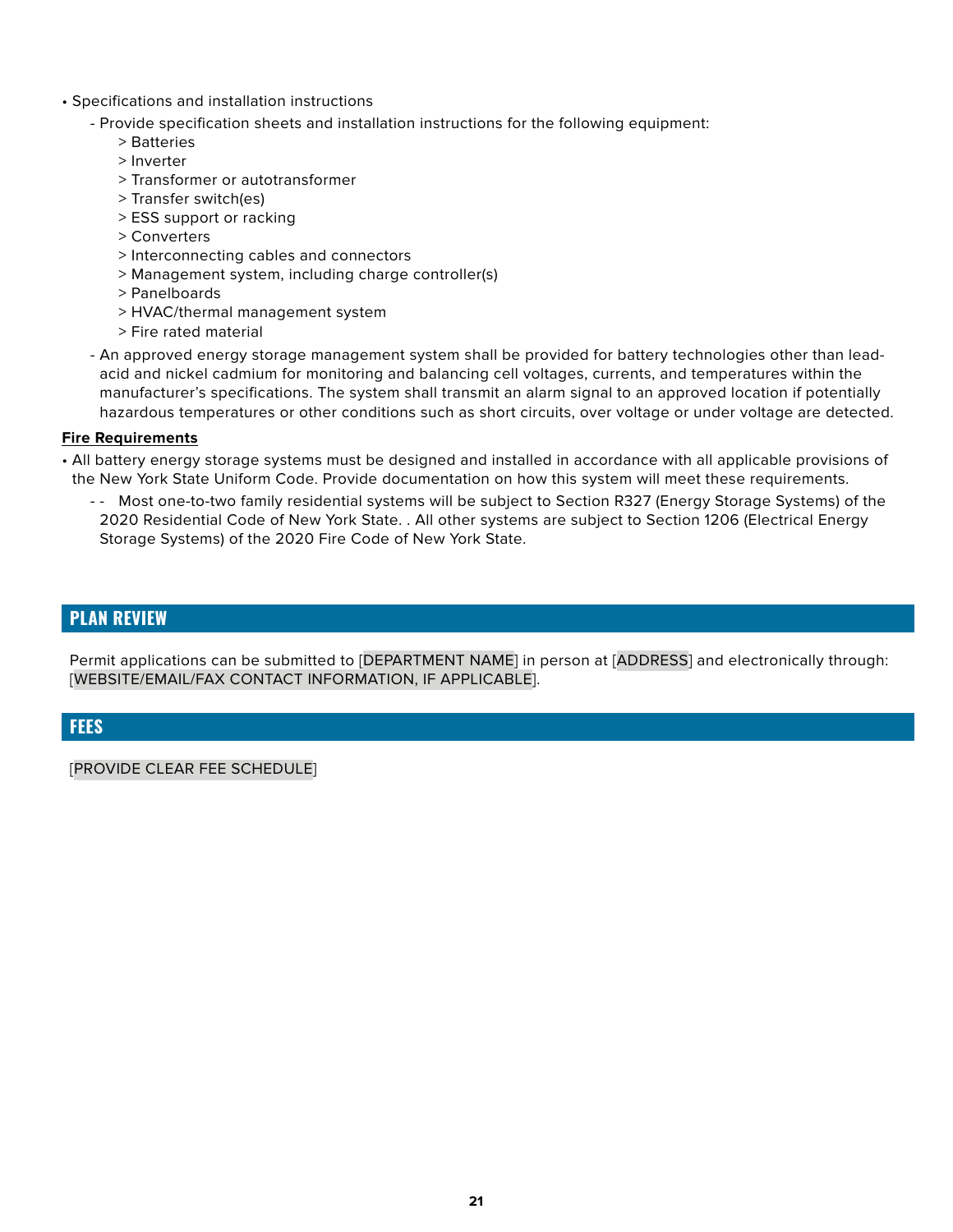- Specifications and installation instructions
	- Provide specification sheets and installation instructions for the following equipment:
		- > Batteries
		- > Inverter
		- > Transformer or autotransformer
		- > Transfer switch(es)
		- > ESS support or racking
		- > Converters
		- > Interconnecting cables and connectors
		- > Management system, including charge controller(s)
		- > Panelboards
		- > HVAC/thermal management system
		- > Fire rated material
	- An approved energy storage management system shall be provided for battery technologies other than leadacid and nickel cadmium for monitoring and balancing cell voltages, currents, and temperatures within the manufacturer's specifications. The system shall transmit an alarm signal to an approved location if potentially hazardous temperatures or other conditions such as short circuits, over voltage or under voltage are detected.

#### **Fire Requirements**

- All battery energy storage systems must be designed and installed in accordance with all applicable provisions of the New York State Uniform Code. Provide documentation on how this system will meet these requirements.
	- - Most one-to-two family residential systems will be subject to Section R327 (Energy Storage Systems) of the 2020 Residential Code of New York State. . All other systems are subject to Section 1206 (Electrical Energy Storage Systems) of the 2020 Fire Code of New York State.

#### **PLAN REVIEW**

Permit applications can be submitted to [DEPARTMENT NAME] in person at [ADDRESS] and electronically through: [WEBSITE/EMAIL/FAX CONTACT INFORMATION, IF APPLICABLE].

#### **FEES**

[PROVIDE CLEAR FEE SCHEDULE]